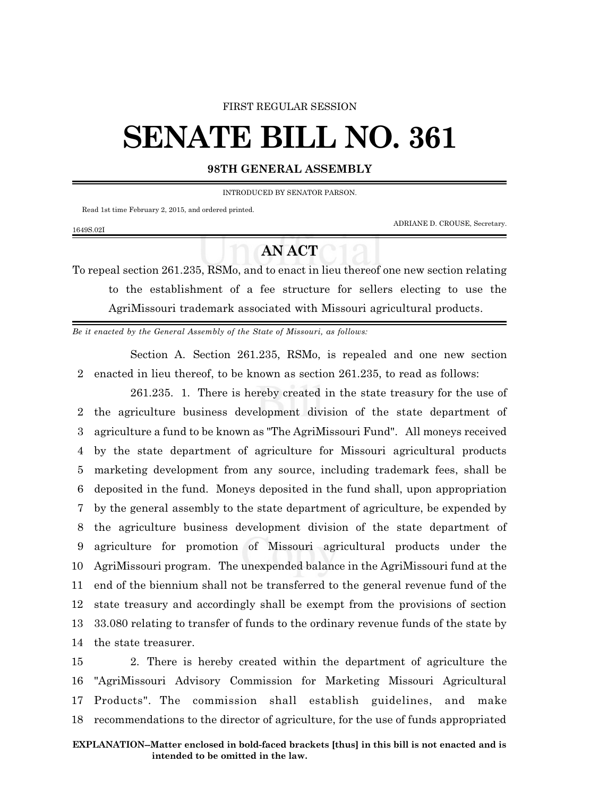#### FIRST REGULAR SESSION

# **SENATE BILL NO. 361**

## **98TH GENERAL ASSEMBLY**

INTRODUCED BY SENATOR PARSON.

Read 1st time February 2, 2015, and ordered printed.

1649S.02I

ADRIANE D. CROUSE, Secretary.

# **AN ACT**

To repeal section 261.235, RSMo, and to enact in lieu thereof one new section relating to the establishment of a fee structure for sellers electing to use the AgriMissouri trademark associated with Missouri agricultural products.

*Be it enacted by the General Assembly of the State of Missouri, as follows:*

Section A. Section 261.235, RSMo, is repealed and one new section 2 enacted in lieu thereof, to be known as section 261.235, to read as follows:

261.235. 1. There is hereby created in the state treasury for the use of the agriculture business development division of the state department of agriculture a fund to be known as "The AgriMissouri Fund". All moneys received by the state department of agriculture for Missouri agricultural products marketing development from any source, including trademark fees, shall be deposited in the fund. Moneys deposited in the fund shall, upon appropriation by the general assembly to the state department of agriculture, be expended by the agriculture business development division of the state department of agriculture for promotion of Missouri agricultural products under the AgriMissouri program. The unexpended balance in the AgriMissouri fund at the end of the biennium shall not be transferred to the general revenue fund of the state treasury and accordingly shall be exempt from the provisions of section 33.080 relating to transfer of funds to the ordinary revenue funds of the state by the state treasurer.

 2. There is hereby created within the department of agriculture the "AgriMissouri Advisory Commission for Marketing Missouri Agricultural Products". The commission shall establish guidelines, and make recommendations to the director of agriculture, for the use of funds appropriated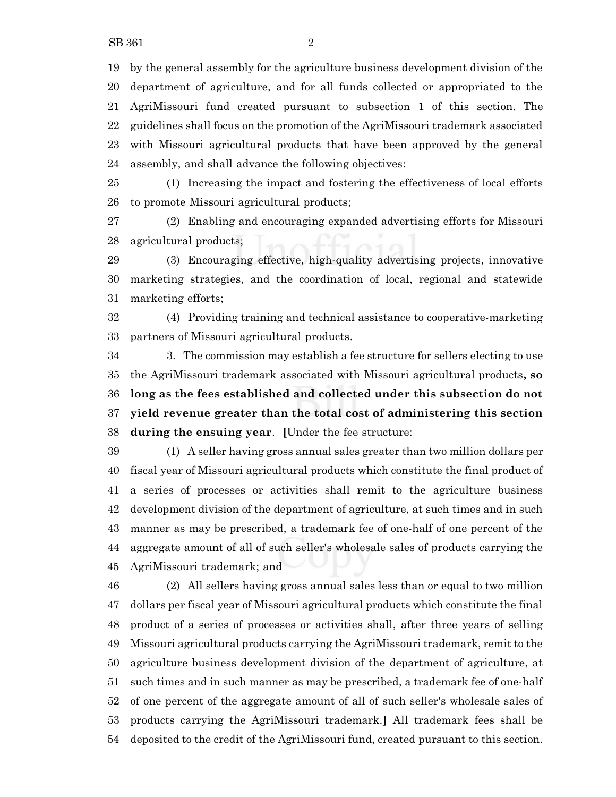by the general assembly for the agriculture business development division of the department of agriculture, and for all funds collected or appropriated to the AgriMissouri fund created pursuant to subsection 1 of this section. The guidelines shall focus on the promotion of the AgriMissouri trademark associated with Missouri agricultural products that have been approved by the general assembly, and shall advance the following objectives:

 (1) Increasing the impact and fostering the effectiveness of local efforts to promote Missouri agricultural products;

 (2) Enabling and encouraging expanded advertising efforts for Missouri agricultural products;

 (3) Encouraging effective, high-quality advertising projects, innovative marketing strategies, and the coordination of local, regional and statewide marketing efforts;

 (4) Providing training and technical assistance to cooperative-marketing partners of Missouri agricultural products.

 3. The commission may establish a fee structure for sellers electing to use the AgriMissouri trademark associated with Missouri agricultural products**, so long as the fees established and collected under this subsection do not yield revenue greater than the total cost of administering this section during the ensuing year**. **[**Under the fee structure:

 (1) A seller having gross annual sales greater than two million dollars per fiscal year of Missouri agricultural products which constitute the final product of a series of processes or activities shall remit to the agriculture business development division of the department of agriculture, at such times and in such manner as may be prescribed, a trademark fee of one-half of one percent of the aggregate amount of all of such seller's wholesale sales of products carrying the AgriMissouri trademark; and

 (2) All sellers having gross annual sales less than or equal to two million dollars per fiscal year of Missouri agricultural products which constitute the final product of a series of processes or activities shall, after three years of selling Missouri agricultural products carrying the AgriMissouri trademark, remit to the agriculture business development division of the department of agriculture, at such times and in such manner as may be prescribed, a trademark fee of one-half of one percent of the aggregate amount of all of such seller's wholesale sales of products carrying the AgriMissouri trademark.**]** All trademark fees shall be deposited to the credit of the AgriMissouri fund, created pursuant to this section.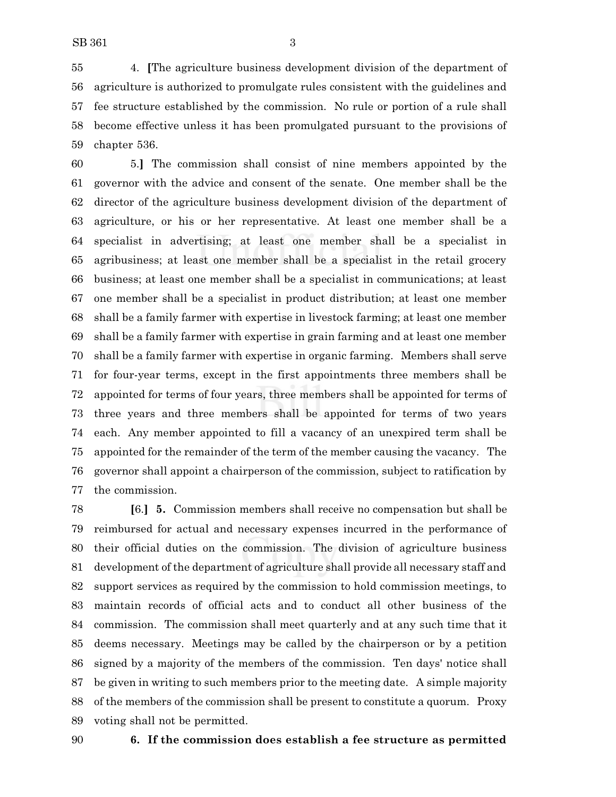4. **[**The agriculture business development division of the department of agriculture is authorized to promulgate rules consistent with the guidelines and fee structure established by the commission. No rule or portion of a rule shall become effective unless it has been promulgated pursuant to the provisions of chapter 536.

 5.**]** The commission shall consist of nine members appointed by the governor with the advice and consent of the senate. One member shall be the director of the agriculture business development division of the department of agriculture, or his or her representative. At least one member shall be a specialist in advertising; at least one member shall be a specialist in agribusiness; at least one member shall be a specialist in the retail grocery business; at least one member shall be a specialist in communications; at least one member shall be a specialist in product distribution; at least one member shall be a family farmer with expertise in livestock farming; at least one member shall be a family farmer with expertise in grain farming and at least one member shall be a family farmer with expertise in organic farming. Members shall serve for four-year terms, except in the first appointments three members shall be appointed for terms of four years, three members shall be appointed for terms of three years and three members shall be appointed for terms of two years each. Any member appointed to fill a vacancy of an unexpired term shall be appointed for the remainder of the term of the member causing the vacancy. The governor shall appoint a chairperson of the commission, subject to ratification by the commission.

 **[**6.**] 5.** Commission members shall receive no compensation but shall be reimbursed for actual and necessary expenses incurred in the performance of their official duties on the commission. The division of agriculture business development of the department of agriculture shall provide all necessary staff and support services as required by the commission to hold commission meetings, to maintain records of official acts and to conduct all other business of the commission. The commission shall meet quarterly and at any such time that it deems necessary. Meetings may be called by the chairperson or by a petition signed by a majority of the members of the commission. Ten days' notice shall be given in writing to such members prior to the meeting date. A simple majority of the members of the commission shall be present to constitute a quorum. Proxy voting shall not be permitted.

### **6. If the commission does establish a fee structure as permitted**